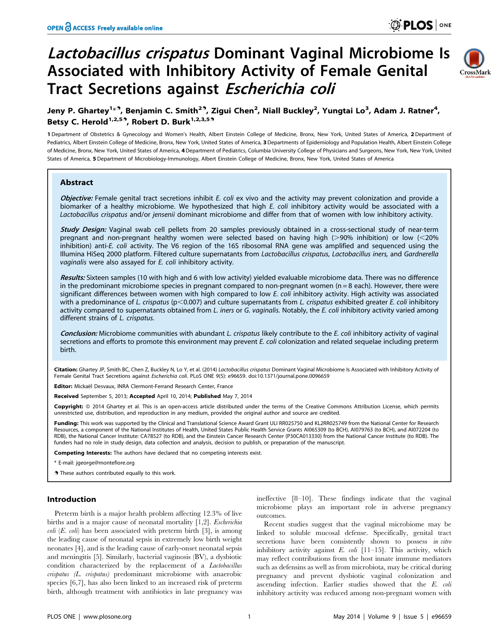# Lactobacillus crispatus Dominant Vaginal Microbiome Is Associated with Inhibitory Activity of Female Genital Tract Secretions against Escherichia coli



# Jeny P. Ghartey<sup>1 $\ast$ 9</sup>, Benjamin C. Smith<sup>29</sup>, Zigui Chen<sup>2</sup>, Niall Buckley<sup>2</sup>, Yungtai Lo<sup>3</sup>, Adam J. Ratner<sup>4</sup>, Betsy C. Herold<sup>1,2,53</sup>, Robert D. Burk<sup>1,2,3,53</sup>

1 Department of Obstetrics & Gynecology and Women's Health, Albert Einstein College of Medicine, Bronx, New York, United States of America, 2 Department of Pediatrics, Albert Einstein College of Medicine, Bronx, New York, United States of America, 3 Departments of Epidemiology and Population Health, Albert Einstein College of Medicine, Bronx, New York, United States of America, 4 Department of Pediatrics, Columbia University College of Physicians and Surgeons, New York, New York, United States of America, 5 Department of Microbiology-Immunology, Albert Einstein College of Medicine, Bronx, New York, United States of America

### Abstract

Objective: Female genital tract secretions inhibit E. coli ex vivo and the activity may prevent colonization and provide a biomarker of a healthy microbiome. We hypothesized that high E. coli inhibitory activity would be associated with a Lactobacillus crispatus and/or jensenii dominant microbiome and differ from that of women with low inhibitory activity.

**Study Design:** Vaginal swab cell pellets from 20 samples previously obtained in a cross-sectional study of near-term pregnant and non-pregnant healthy women were selected based on having high ( $>90\%$  inhibition) or low ( $<20\%$ ) inhibition) anti-E. coli activity. The V6 region of the 16S ribosomal RNA gene was amplified and sequenced using the Illumina HiSeq 2000 platform. Filtered culture supernatants from Lactobacillus crispatus, Lactobacillus iners, and Gardnerella vaginalis were also assayed for E. coli inhibitory activity.

Results: Sixteen samples (10 with high and 6 with low activity) yielded evaluable microbiome data. There was no difference in the predominant microbiome species in pregnant compared to non-pregnant women  $(n = 8 \text{ each})$ . However, there were significant differences between women with high compared to low E. coli inhibitory activity. High activity was associated with a predominance of L. crispatus ( $p$ <0.007) and culture supernatants from L. crispatus exhibited greater E. coli inhibitory activity compared to supernatants obtained from L. iners or G. vaginalis. Notably, the E. coli inhibitory activity varied among different strains of L. crispatus.

Conclusion: Microbiome communities with abundant L. crispatus likely contribute to the E. coli inhibitory activity of vaginal secretions and efforts to promote this environment may prevent E. coli colonization and related sequelae including preterm birth.

Citation: Ghartey JP, Smith BC, Chen Z, Buckley N, Lo Y, et al. (2014) Lactobacillus crispatus Dominant Vaginal Microbiome Is Associated with Inhibitory Activity of Female Genital Tract Secretions against Escherichia coli. PLoS ONE 9(5): e96659. doi:10.1371/journal.pone.0096659

Editor: Mickaël Desvaux, INRA Clermont-Ferrand Research Center, France

Received September 5, 2013; Accepted April 10, 2014; Published May 7, 2014

Copyright: © 2014 Ghartey et al. This is an open-access article distributed under the terms of the [Creative Commons Attribution License,](http://creativecommons.org/licenses/by/4.0/) which permits unrestricted use, distribution, and reproduction in any medium, provided the original author and source are credited.

Funding: This work was supported by the Clinical and Translational Science Award Grant ULI RR025750 and KL2RR025749 from the National Center for Research Resources, a component of the National Institutes of Health, United States Public Health Service Grants AI065309 (to BCH), AI079763 (to BCH), and AI072204 (to RDB), the National Cancer Institute: CA78527 (to RDB), and the Einstein Cancer Research Center (P30CA013330) from the National Cancer Institute (to RDB). The funders had no role in study design, data collection and analysis, decision to publish, or preparation of the manuscript.

Competing Interests: The authors have declared that no competing interests exist.

\* E-mail: jgeorge@montefiore.org

. These authors contributed equally to this work.

#### Introduction

Preterm birth is a major health problem affecting 12.3% of live births and is a major cause of neonatal mortality [1,2]. *Escherichia coli* (*E. coli*) has been associated with preterm birth [3], is among the leading cause of neonatal sepsis in extremely low birth weight neonates [4], and is the leading cause of early-onset neonatal sepsis and meningitis [5]. Similarly, bacterial vaginosis (BV), a dysbiotic condition characterized by the replacement of a Lactobacillus crispatus (L. crispatus) predominant microbiome with anaerobic species [6,7], has also been linked to an increased risk of preterm birth, although treatment with antibiotics in late pregnancy was

ineffective [8–10]. These findings indicate that the vaginal microbiome plays an important role in adverse pregnancy outcomes.

Recent studies suggest that the vaginal microbiome may be linked to soluble mucosal defense. Specifically, genital tract secretions have been consistently shown to possess in vitro inhibitory activity against  $E.$   $\text{coli}$  [11-15]. This activity, which may reflect contributions from the host innate immune mediators such as defensins as well as from microbiota, may be critical during pregnancy and prevent dysbiotic vaginal colonization and ascending infection. Earlier studies showed that the E. coli inhibitory activity was reduced among non-pregnant women with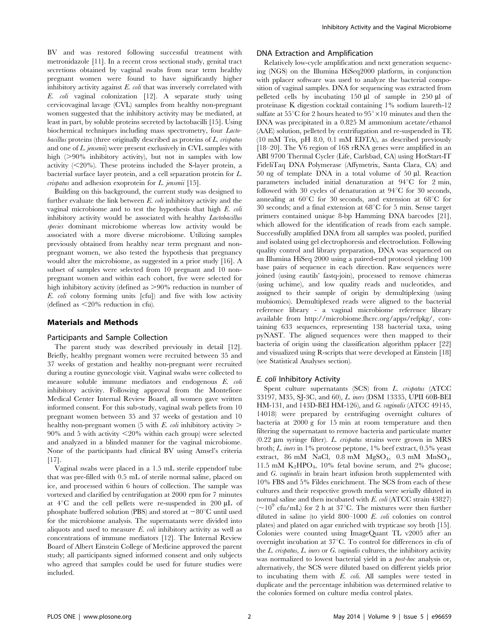BV and was restored following successful treatment with metronidazole [11]. In a recent cross sectional study, genital tract secretions obtained by vaginal swabs from near term healthy pregnant women were found to have significantly higher inhibitory activity against E. coli that was inversely correlated with E. coli vaginal colonization [12]. A separate study using cervicovaginal lavage (CVL) samples from healthy non-pregnant women suggested that the inhibitory activity may be mediated, at least in part, by soluble proteins secreted by lactobacilli [15]. Using biochemical techniques including mass spectrometry, four Lactobacillus proteins (three originally described as proteins of L. crispatus and one of L. jensenii) were present exclusively in CVL samples with high  $(>90\%$  inhibitory activity), but not in samples with low activity  $\langle \langle 20\% \rangle$ . These proteins included the S-layer protein, a bacterial surface layer protein, and a cell separation protein for L. crispatus and adhesion exoprotein for L. jensenii [15].

Building on this background, the current study was designed to further evaluate the link between  $E$ .  $\omega h$  inhibitory activity and the vaginal microbiome and to test the hypothesis that high E. coli inhibitory activity would be associated with healthy Lactobacillus species dominant microbiome whereas low activity would be associated with a more diverse microbiome. Utilizing samples previously obtained from healthy near term pregnant and nonpregnant women, we also tested the hypothesis that pregnancy would alter the microbiome, as suggested in a prior study [16]. A subset of samples were selected from 10 pregnant and 10 nonpregnant women and within each cohort, five were selected for high inhibitory activity (defined as  $>90\%$  reduction in number of E. coli colony forming units [cfu]) and five with low activity (defined as  $\leq$ 20% reduction in cfu).

#### Materials and Methods

#### Participants and Sample Collection

The parent study was described previously in detail [12]. Briefly, healthy pregnant women were recruited between 35 and 37 weeks of gestation and healthy non-pregnant were recruited during a routine gynecologic visit. Vaginal swabs were collected to measure soluble immune mediators and endogenous E. coli inhibitory activity. Following approval from the Montefiore Medical Center Internal Review Board, all women gave written informed consent. For this sub-study, vaginal swab pellets from 10 pregnant women between 35 and 37 weeks of gestation and 10 healthy non-pregnant women (5 with E. *coli* inhibitory activity  $\geq$  $90\%$  and 5 with activity  $\leq 20\%$  within each group) were selected and analyzed in a blinded manner for the vaginal microbiome. None of the participants had clinical BV using Amsel's criteria [17].

Vaginal swabs were placed in a 1.5 mL sterile eppendorf tube that was pre-filled with 0.5 mL of sterile normal saline, placed on ice, and processed within 6 hours of collection. The sample was vortexed and clarified by centrifugation at 2000 rpm for 7 minutes at  $4^{\circ}$ C and the cell pellets were re-suspended in 200  $\mu$ L of phosphate buffered solution (PBS) and stored at  $-80^{\circ}$ C until used for the microbiome analysis. The supernatants were divided into aliquots and used to measure  $E$ . *coli* inhibitory activity as well as concentrations of immune mediators [12]. The Internal Review Board of Albert Einstein College of Medicine approved the parent study; all participants signed informed consent and only subjects who agreed that samples could be used for future studies were included.

#### DNA Extraction and Amplification

Relatively low-cycle amplification and next generation sequencing (NGS) on the Illumina HiSeq2000 platform, in conjunction with pplacer software was used to analyze the bacterial composition of vaginal samples. DNA for sequencing was extracted from pelleted cells by incubating  $150 \mu \hat{l}$  of sample in  $250 \mu \hat{l}$  of proteinase K digestion cocktail containing 1% sodium laureth-12 sulfate at  $55^{\circ}$ C for 2 hours heated to  $95^{\circ} \times 10$  minutes and then the DNA was precipitated in a 0.825 M ammonium acetate/ethanol (AAE) solution, pelleted by centrifugation and re-suspended in TE (10 mM Tris, pH 8.0, 0.1 mM EDTA), as described previously [18–20]. The V6 region of 16S rRNA genes were amplified in an ABI 9700 Thermal Cycler (Life, Carlsbad, CA) using HotStart-IT FideliTaq DNA Polymerase (Affymetrix, Santa Clara, CA) and  $50$  ng of template DNA in a total volume of  $50 \mu$ l. Reaction parameters included initial denaturation at  $94^{\circ}$ C for 2 min, followed with 30 cycles of denaturation at  $94^{\circ}$ C for 30 seconds, annealing at  $60^{\circ}$ C for 30 seconds, and extension at  $68^{\circ}$ C for 30 seconds; and a final extension at  $68^{\circ}$ C for 5 min. Sense target primers contained unique 8-bp Hamming DNA barcodes [21], which allowed for the identification of reads from each sample. Successfully amplified DNA from all samples was pooled, purified and isolated using gel electrophoresis and electroelution. Following quality control and library preparation, DNA was sequenced on an Illumina HiSeq 2000 using a paired-end protocol yielding 100 base pairs of sequence in each direction. Raw sequences were joined (using eautils' fastq-join), processed to remove chimeras (using uchime), and low quality reads and nucleotides, and assigned to their sample of origin by demultiplexing (using mubiomics). Demultiplexed reads were aligned to the bacterial reference library - a vaginal microbiome reference library available from http://microbiome.fhcrc.org/apps/refpkg/, containing 633 sequences, representing 138 bacterial taxa, using pyNAST. The aligned sequences were then mapped to their bacteria of origin using the classification algorithm pplacer [22] and visualized using R-scripts that were developed at Einstein [18] (see Statistical Analyses section).

#### E. coli Inhibitory Activity

Spent culture supernatants (SCS) from L. crispatus (ATCC 33197, M35, SJ-3C, and 60), L. iners (DSM 13335, UPII 60B-BEI HM-131, and 143D-BEI HM-126), and G. vaginalis (ATCC 49145, 14018) were prepared by centrifuging overnight cultures of bacteria at 2000 g for 15 min at room temperature and then filtering the supernatant to remove bacteria and particulate matter  $(0.22 \mu m)$  syringe filter). L. crispatus strains were grown in MRS broth; L. iners in 1% proteose peptone, 1% beef extract, 0.5% yeast extract,  $86 \text{ mM}$  NaCl,  $0.8 \text{ mM}$  MgSO<sub>4</sub>,  $0.3 \text{ mM}$  MnSO<sub>4</sub>, 11.5 mM  $K_2HPO_4$ , 10% fetal bovine serum, and 2% glucose; and G. vaginalis in brain heart infusion broth supplemented with 10% FBS and 5% Fildes enrichment. The SCS from each of these cultures and their respective growth media were serially diluted in normal saline and then incubated with E. coli (ATCC strain 43827)  $(-10^9 \text{ cfu/mL})$  for 2 h at 37<sup>o</sup>C. The mixtures were then further diluted in saline (to yield 800–1000 E. coli colonies on control plates) and plated on agar enriched with trypticase soy broth [15]. Colonies were counted using ImageQuant TL v2005 after an overnight incubation at  $37^{\circ}$ C. To control for differences in cfu of the  $L$ . crispatus,  $L$ . iners or  $G$ . vaginalis cultures, the inhibitory activity was normalized to lowest bacterial yield in a *post-hoc* analysis or, alternatively, the SCS were diluted based on different yields prior to incubating them with E. coli. All samples were tested in duplicate and the percentage inhibition was determined relative to the colonies formed on culture media control plates.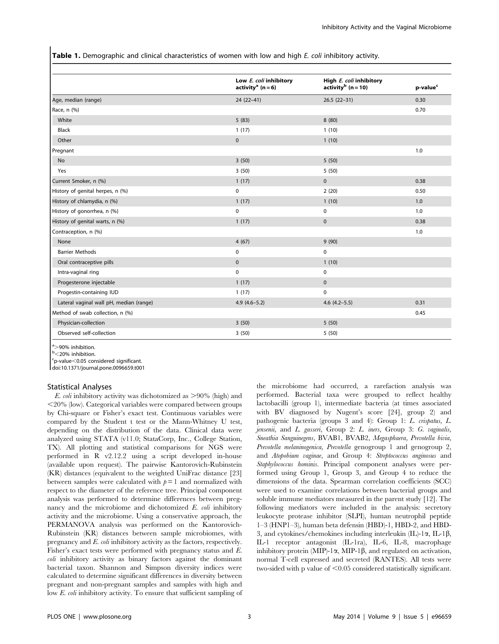Table 1. Demographic and clinical characteristics of women with low and high E. coli inhibitory activity.

| Low E. coli inhibitory<br>activity <sup>a</sup> ( $n = 6$ ) | High E. coli inhibitory<br>activity $b(n=10)$ | p-value <sup>c</sup> |  |
|-------------------------------------------------------------|-----------------------------------------------|----------------------|--|
| $24(22-41)$                                                 | $26.5(22-31)$                                 | 0.30                 |  |
|                                                             |                                               | 0.70                 |  |
| 5(83)                                                       | 8(80)                                         |                      |  |
| 1(17)                                                       | 1(10)                                         |                      |  |
| $\mathbf 0$                                                 | 1(10)                                         |                      |  |
|                                                             |                                               | 1.0                  |  |
| 3(50)                                                       | 5(50)                                         |                      |  |
| 3(50)                                                       | 5(50)                                         |                      |  |
| 1(17)                                                       | $\mathbf{0}$                                  | 0.38                 |  |
| $\mathbf 0$                                                 | 2(20)                                         | 0.50                 |  |
| 1(17)                                                       | 1(10)                                         | 1.0                  |  |
| $\mathbf 0$                                                 | 0                                             | 1.0                  |  |
| 1(17)                                                       | $\mathbf 0$                                   | 0.38                 |  |
|                                                             |                                               | 1.0                  |  |
| 4(67)                                                       | 9(90)                                         |                      |  |
| $\mathbf 0$                                                 | $\mathbf 0$                                   |                      |  |
| $\mathbf 0$                                                 | 1(10)                                         |                      |  |
| $\mathbf 0$                                                 | 0                                             |                      |  |
| 1(17)                                                       | $\mathbf{0}$                                  |                      |  |
| 1(17)                                                       | $\mathbf 0$                                   |                      |  |
| $4.9(4.6-5.2)$                                              | $4.6$ $(4.2-5.5)$                             | 0.31                 |  |
|                                                             |                                               | 0.45                 |  |
| 3(50)                                                       | 5(50)                                         |                      |  |
| 3(50)                                                       | 5(50)                                         |                      |  |
|                                                             |                                               |                      |  |

 $\frac{a}{b}$ >90% inhibition.<br>b<20% inhibition

 $b$ <20% inhibition.

 $c$ p-value $<$ 0.05 considered significant.

doi:10.1371/journal.pone.0096659.t001

#### Statistical Analyses

E. coli inhibitory activity was dichotomized as  $>90\%$  (high) and  $\langle 20\%$  (low). Categorical variables were compared between groups by Chi-square or Fisher's exact test. Continuous variables were compared by the Student t test or the Mann-Whitney U test, depending on the distribution of the data. Clinical data were analyzed using STATA (v11.0; StataCorp, Inc., College Station, TX). All plotting and statistical comparisons for NGS were performed in R v2.12.2 using a script developed in-house (available upon request). The pairwise Kantorovich-Rubinstein (KR) distances (equivalent to the weighted UniFrac distance [23] between samples were calculated with  $p = 1$  and normalized with respect to the diameter of the reference tree. Principal component analysis was performed to determine differences between pregnancy and the microbiome and dichotomized E. coli inhibitory activity and the microbiome. Using a conservative approach, the PERMANOVA analysis was performed on the Kantorovich-Rubinstein (KR) distances between sample microbiomes, with pregnancy and E. coli inhibitory activity as the factors, respectively. Fisher's exact tests were performed with pregnancy status and E. coli inhibitory activity as binary factors against the dominant bacterial taxon. Shannon and Simpson diversity indices were calculated to determine significant differences in diversity between pregnant and non-pregnant samples and samples with high and low E. coli inhibitory activity. To ensure that sufficient sampling of

the microbiome had occurred, a rarefaction analysis was performed. Bacterial taxa were grouped to reflect healthy lactobacilli (group 1), intermediate bacteria (at times associated with BV diagnosed by Nugent's score [24], group 2) and pathogenic bacteria (groups 3 and 4): Group 1: L. crispatus, L. jensenii, and L. gasseri, Group 2: L. iners, Group 3: G. vaginalis, Sneathia Sanguinegens, BVAB1, BVAB2, Megasphaera, Prevotella bivia, Prevotella melaninogenica, Prevotella genogroup 1 and genogroup 2, and Atopobium vaginae, and Group 4: Streptococcus anginosus and Staphylococcus hominis. Principal component analyses were performed using Group 1, Group 3, and Group 4 to reduce the dimensions of the data. Spearman correlation coefficients (SCC) were used to examine correlations between bacterial groups and soluble immune mediators measured in the parent study [12]. The following mediators were included in the analysis: secretory leukocyte protease inhibitor (SLPI), human neutrophil peptide 1–3 (HNP1–3), human beta defensin (HBD)-1, HBD-2, and HBD-3, and cytokines/chemokines including interleukin  $(IL)$ -1 $\alpha$ , IL-1 $\beta$ , IL-1 receptor antagonist (IL-1ra), IL-6, IL-8, macrophage inhibitory protein (MIP)-1 $\alpha$ , MIP-1 $\beta$ , and regulated on activation, normal T-cell expressed and secreted (RANTES). All tests were two-sided with p value of  $\leq 0.05$  considered statistically significant.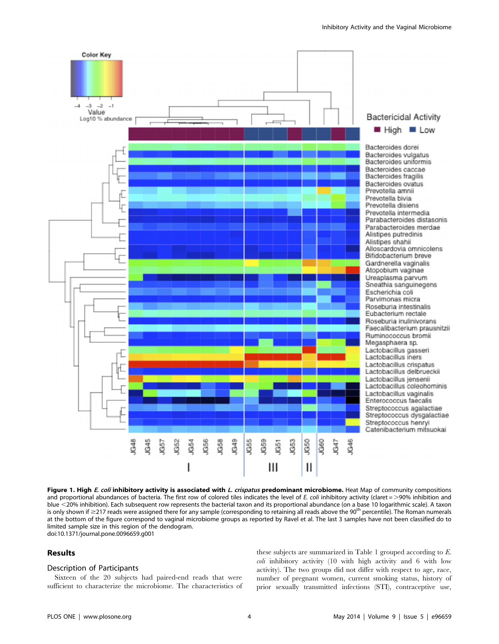

Figure 1. High E. coli inhibitory activity is associated with L. crispatus predominant microbiome. Heat Map of community compositions and proportional abundances of bacteria. The first row of colored tiles indicates the level of E. coli inhibitory activity (claret =  $>$ 90% inhibition and blue <20% inhibition). Each subsequent row represents the bacterial taxon and its proportional abundance (on a base 10 logarithmic scale). A taxon is only shown if  $\geq$  217 reads were assigned there for any sample (corresponding to retaining all reads above the 90<sup>th</sup> percentile). The Roman numerals at the bottom of the figure correspond to vaginal microbiome groups as reported by Ravel et al. The last 3 samples have not been classified do to limited sample size in this region of the dendogram. doi:10.1371/journal.pone.0096659.g001

## Results

### Description of Participants

Sixteen of the 20 subjects had paired-end reads that were sufficient to characterize the microbiome. The characteristics of these subjects are summarized in Table 1 grouped according to E. coli inhibitory activity (10 with high activity and 6 with low activity). The two groups did not differ with respect to age, race, number of pregnant women, current smoking status, history of prior sexually transmitted infections (STI), contraceptive use,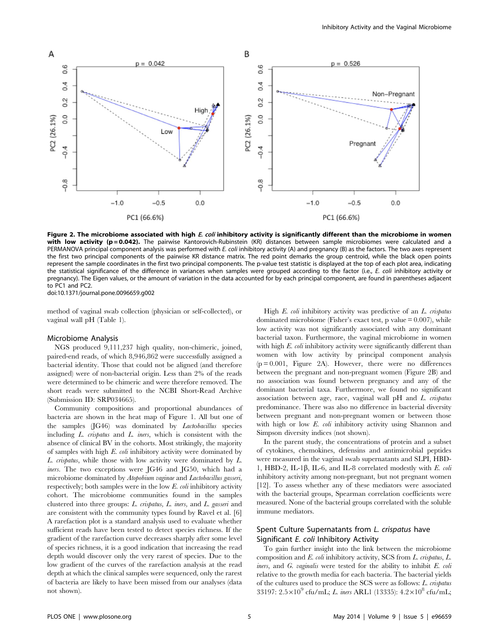

Figure 2. The microbiome associated with high E. coli inhibitory activity is significantly different than the microbiome in women with low activity (p = 0.042). The pairwise Kantorovich-Rubinstein (KR) distances between sample microbiomes were calculated and a PERMANOVA principal component analysis was performed with E. coli inhibitory activity (A) and pregnancy (B) as the factors. The two axes represent the first two principal components of the pairwise KR distance matrix. The red point demarks the group centroid, while the black open points represent the sample coordinates in the first two principal components. The p-value test statistic is displayed at the top of each plot area, indicating the statistical significance of the difference in variances when samples were grouped according to the factor (i.e., E. coli inhibitory activity or pregnancy). The Eigen values, or the amount of variation in the data accounted for by each principal component, are found in parentheses adjacent to PC1 and PC2.

doi:10.1371/journal.pone.0096659.g002

method of vaginal swab collection (physician or self-collected), or vaginal wall pH (Table 1).

#### Microbiome Analysis

NGS produced 9,111,237 high quality, non-chimeric, joined, paired-end reads, of which 8,946,862 were successfully assigned a bacterial identity. Those that could not be aligned (and therefore assigned) were of non-bacterial origin. Less than 2% of the reads were determined to be chimeric and were therefore removed. The short reads were submitted to the NCBI Short-Read Archive (Submission ID: SRP034665).

Community compositions and proportional abundances of bacteria are shown in the heat map of Figure 1. All but one of the samples (JG46) was dominated by Lactobacillus species including L. crispatus and L. iners, which is consistent with the absence of clinical BV in the cohorts. Most strikingly, the majority of samples with high E. coli inhibitory activity were dominated by L. crispatus, while those with low activity were dominated by L. iners. The two exceptions were JG46 and JG50, which had a microbiome dominated by Atopobium vaginae and Lactobacillus gasseri, respectively; both samples were in the low E. coli inhibitory activity cohort. The microbiome communities found in the samples clustered into three groups: L. crispatus, L. iners, and L. gasseri and are consistent with the community types found by Ravel et al. [6] A rarefaction plot is a standard analysis used to evaluate whether sufficient reads have been tested to detect species richness. If the gradient of the rarefaction curve decreases sharply after some level of species richness, it is a good indication that increasing the read depth would discover only the very rarest of species. Due to the low gradient of the curves of the rarefaction analysis at the read depth at which the clinical samples were sequenced, only the rarest of bacteria are likely to have been missed from our analyses (data not shown).

High E. coli inhibitory activity was predictive of an L. crispatus dominated microbiome (Fisher's exact test, p value  $= 0.007$ ), while low activity was not significantly associated with any dominant bacterial taxon. Furthermore, the vaginal microbiome in women with high E. coli inhibitory activity were significantly different than women with low activity by principal component analysis (p = 0.001, Figure 2A). However, there were no differences between the pregnant and non-pregnant women (Figure 2B) and no association was found between pregnancy and any of the dominant bacterial taxa. Furthermore, we found no significant association between age, race, vaginal wall pH and L. crispatus predominance. There was also no difference in bacterial diversity between pregnant and non-pregnant women or between those with high or low E. coli inhibitory activity using Shannon and Simpson diversity indices (not shown).

In the parent study, the concentrations of protein and a subset of cytokines, chemokines, defensins and antimicrobial peptides were measured in the vaginal swab supernatants and SLPI, HBD-1, HBD-2, IL-1 $\beta$ , IL-6, and IL-8 correlated modestly with E. coli inhibitory activity among non-pregnant, but not pregnant women [12]. To assess whether any of these mediators were associated with the bacterial groups, Spearman correlation coefficients were measured. None of the bacterial groups correlated with the soluble immune mediators.

# Spent Culture Supernatants from L. crispatus have Significant E. coli Inhibitory Activity

To gain further insight into the link between the microbiome composition and E. coli inhibitory activity, SCS from L. crispatus, L. *iners*, and  $G$ . *vaginalis* were tested for the ability to inhibit  $E$ . *coli* relative to the growth media for each bacteria. The bacterial yields of the cultures used to produce the SCS were as follows: L. crispatus 33197:  $2.5 \times 10^9$  cfu/mL; L. iners ARL1 (13335):  $4.2 \times 10^8$  cfu/mL;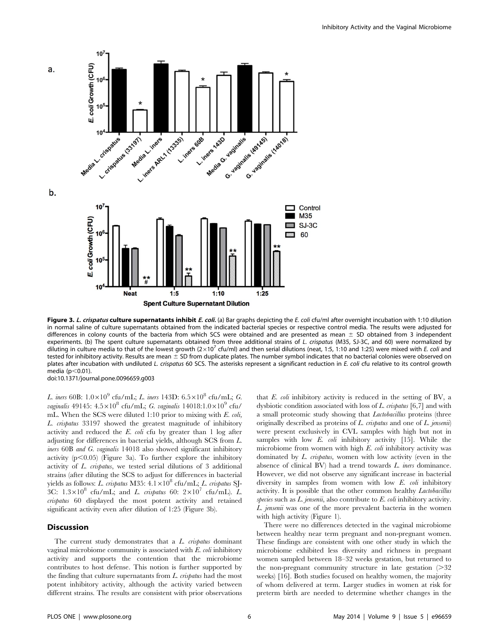

Figure 3. L. crispatus culture supernatants inhibit E. coli. (a) Bar graphs depicting the E. coli cfu/ml after overnight incubation with 1:10 dilution in normal saline of culture supernatants obtained from the indicated bacterial species or respective control media. The results were adjusted for differences in colony counts of the bacteria from which SCS were obtained and are presented as mean  $\pm$  SD obtained from 3 independent experiments. (b) The spent culture supernatants obtained from three additional strains of L. crispatus (M35, SJ-3C, and 60) were normalized by diluting in culture media to that of the lowest growth  $(2\times10^7 \text{ cfu/ml})$  and then serial dilutions (neat, 1:5, 1:10 and 1:25) were mixed with E. coli and tested for inhibitory activity. Results are mean  $\pm$  SD from duplicate plates. The number symbol indicates that no bacterial colonies were observed on plates after incubation with undiluted L. crispatus 60 SCS. The asterisks represent a significant reduction in E. coli cfu relative to its control growth media  $(p<0.01)$ . doi:10.1371/journal.pone.0096659.g003

L. iners 60B:  $1.0\times10^9$  cfu/mL; L. iners 143D:  $6.5\times10^8$  cfu/mL; G. vaginalis 49145:  $4.5 \times 10^8$  cfu/mL; G. vaginalis 14018:1.0 $\times$ 10<sup>9</sup> cfu/ mL. When the SCS were diluted 1:10 prior to mixing with E. coli, L. crispatus 33197 showed the greatest magnitude of inhibitory activity and reduced the E. coli cfu by greater than 1 log after adjusting for differences in bacterial yields, although SCS from L. iners 60B and G. vaginalis 14018 also showed significant inhibitory activity  $(p<0.05)$  (Figure 3a). To further explore the inhibitory activity of L. crispatus, we tested serial dilutions of 3 additional strains (after diluting the SCS to adjust for differences in bacterial yields as follows: L. crispatus M35:  $4.1 \times 10^8$  cfu/mL; L. crispatus SJ-3C:  $1.3 \times 10^8$  cfu/mL; and *L. crispatus* 60:  $2 \times 10^7$  cfu/mL). *L.* crispatus 60 displayed the most potent activity and retained significant activity even after dilution of 1:25 (Figure 3b).

# Discussion

The current study demonstrates that a L. crispatus dominant vaginal microbiome community is associated with E. coli inhibitory activity and supports the contention that the microbiome contributes to host defense. This notion is further supported by the finding that culture supernatants from L. crispatus had the most potent inhibitory activity, although the activity varied between different strains. The results are consistent with prior observations that E. coli inhibitory activity is reduced in the setting of BV, a dysbiotic condition associated with loss of L. crispatus [6,7] and with a small proteomic study showing that Lactobacillus proteins (three originally described as proteins of  $L$ . crispatus and one of  $L$ . jensenii) were present exclusively in CVL samples with high but not in samples with low  $E$ . *coli* inhibitory activity [15]. While the microbiome from women with high E. coli inhibitory activity was dominated by  $L$ . *crispatus*, women with low activity (even in the absence of clinical BV) had a trend towards L. iners dominance. However, we did not observe any significant increase in bacterial diversity in samples from women with low E. coli inhibitory activity. It is possible that the other common healthy Lactobacillus species such as  $L$ , jensenii, also contribute to  $E$ , coli inhibitory activity. L. jensenii was one of the more prevalent bacteria in the women with high activity (Figure 1).

There were no differences detected in the vaginal microbiome between healthy near term pregnant and non-pregnant women. These findings are consistent with one other study in which the microbiome exhibited less diversity and richness in pregnant women sampled between 18–32 weeks gestation, but returned to the non-pregnant community structure in late gestation  $(>= 32$ weeks) [16]. Both studies focused on healthy women, the majority of whom delivered at term. Larger studies in women at risk for preterm birth are needed to determine whether changes in the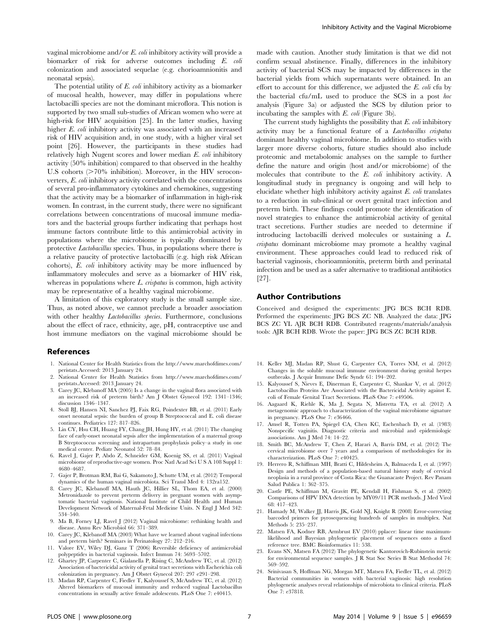vaginal microbiome and/or E. coli inhibitory activity will provide a biomarker of risk for adverse outcomes including E. coli colonization and associated sequelae (e.g. chorioamnionitis and neonatal sepsis).

The potential utility of E. coli inhibitory activity as a biomarker of mucosal health, however, may differ in populations where lactobacilli species are not the dominant microflora. This notion is supported by two small sub-studies of African women who were at high-risk for HIV acquisition [25]. In the latter studies, having higher E. coli inhibitory activity was associated with an increased risk of HIV acquisition and, in one study, with a higher viral set point [26]. However, the participants in these studies had relatively high Nugent scores and lower median E. coli inhibitory activity (50% inhibition) compared to that observed in the healthy U.S cohorts  $(>=70\%$  inhibition). Moreover, in the HIV seroconverters, E. coli inhibitory activity correlated with the concentrations of several pro-inflammatory cytokines and chemokines, suggesting that the activity may be a biomarker of inflammation in high-risk women. In contrast, in the current study, there were no significant correlations between concentrations of mucosal immune mediators and the bacterial groups further indicating that perhaps host immune factors contribute little to this antimicrobial activity in populations where the microbiome is typically dominated by protective Lactobacillus species. Thus, in populations where there is a relative paucity of protective lactobacilli (e.g. high risk African cohorts), E. coli inhibitory activity may be more influenced by inflammatory molecules and serve as a biomarker of HIV risk, whereas in populations where  $L$  crispatus is common, high activity may be representative of a healthy vaginal microbiome.

A limitation of this exploratory study is the small sample size. Thus, as noted above, we cannot preclude a broader association with other healthy *Lactobacillus species*. Furthermore, conclusions about the effect of race, ethnicity, age, pH, contraceptive use and host immune mediators on the vaginal microbiome should be

#### References

- 1. National Center for Health Statistics from the [http://www.marchofdimes.com/](http://www.marchofdimes.com/peristats) [peristats.](http://www.marchofdimes.com/peristats)Accessed: 2013 January 24.
- 2. National Center for Health Statistics from [http://www.marchofdimes.com/](http://www.marchofdimes.com/peristats) [peristats.](http://www.marchofdimes.com/peristats)Accessed: 2013 January 24.
- 3. Carey JC, Klebanoff MA (2005) Is a change in the vaginal flora associated with an increased risk of preterm birth? Am J Obstet Gynecol 192: 1341–1346; discussion 1346–1347.
- 4. Stoll BJ, Hansen NI, Sanchez PJ, Faix RG, Poindexter BB, et al. (2011) Early onset neonatal sepsis: the burden of group B Streptococcal and E. coli disease continues. Pediatrics 127: 817–826.
- 5. Lin CY, Hsu CH, Huang FY, Chang JH, Hung HY, et al. (2011) The changing face of early-onset neonatal sepsis after the implementation of a maternal group B Streptococcus screening and intrapartum prophylaxis policy–a study in one medical center. Pediatr Neonatol 52: 78–84.
- 6. Ravel J, Gajer P, Abdo Z, Schneider GM, Koenig SS, et al. (2011) Vaginal microbiome of reproductive-age women. Proc Natl Acad Sci U S A 108 Suppl 1: 4680–4687.
- 7. Gajer P, Brotman RM, Bai G, Sakamoto J, Schutte UM, et al. (2012) Temporal dynamics of the human vaginal microbiota. Sci Transl Med 4: 132ra152.
- 8. Carey JC, Klebanoff MA, Hauth JC, Hillier SL, Thom EA, et al. (2000) Metronidazole to prevent preterm delivery in pregnant women with asymptomatic bacterial vaginosis. National Institute of Child Health and Human Development Network of Maternal-Fetal Medicine Units. N Engl J Med 342: 534–540.
- 9. Ma B, Forney LJ, Ravel J (2012) Vaginal microbiome: rethinking health and disease. Annu Rev Microbiol 66: 371–389.
- 10. Carey JC, Klebanoff MA (2003) What have we learned about vaginal infections and preterm birth? Seminars in Perinatology 27: 212–216.
- 11. Valore EV, Wiley DJ, Ganz T (2006) Reversible deficiency of antimicrobial polypeptides in bacterial vaginosis. Infect Immun 74: 5693–5702.
- 12. Ghartey JP, Carpenter C, Gialanella P, Rising C, McAndrew TC, et al. (2012) Association of bactericidal activity of genital tract secretions with Escherichia coli colonization in pregnancy. Am J Obstet Gynecol 207: 297 e291–298.
- 13. Madan RP, Carpenter C, Fiedler T, Kalyoussef S, McAndrew TC, et al. (2012) Altered biomarkers of mucosal immunity and reduced vaginal Lactobacillus concentrations in sexually active female adolescents. PLoS One 7: e40415.

made with caution. Another study limitation is that we did not confirm sexual abstinence. Finally, differences in the inhibitory activity of bacterial SCS may be impacted by differences in the bacterial yields from which supernatants were obtained. In an effort to account for this difference, we adjusted the  $E$ .  $\text{coli}$  cfu by the bacterial cfu/mL used to produce the SCS in a post hoc analysis (Figure 3a) or adjusted the SCS by dilution prior to incubating the samples with E. coli (Figure 3b).

The current study highlights the possibility that  $E$ ,  $\omega h$  inhibitory activity may be a functional feature of a Lactobacillus crispatus dominant healthy vaginal microbiome. In addition to studies with larger more diverse cohorts, future studies should also include proteomic and metabolomic analyses on the sample to further define the nature and origin (host and/or microbiome) of the molecules that contribute to the E. coli inhibitory activity. A longitudinal study in pregnancy is ongoing and will help to elucidate whether high inhibitory activity against E. coli translates to a reduction in sub-clinical or overt genital tract infection and preterm birth. These findings could promote the identification of novel strategies to enhance the antimicrobial activity of genital tract secretions. Further studies are needed to determine if introducing lactobacilli derived molecules or sustaining a L. crispatus dominant microbiome may promote a healthy vaginal environment. These approaches could lead to reduced risk of bacterial vaginosis, chorioamnionitis, preterm birth and perinatal infection and be used as a safer alternative to traditional antibiotics [27].

#### Author Contributions

Conceived and designed the experiments: JPG BCS BCH RDB. Performed the experiments: JPG BCS ZC NB. Analyzed the data: JPG BCS ZC YL AJR BCH RDB. Contributed reagents/materials/analysis tools: AJR BCH RDB. Wrote the paper: JPG BCS ZC BCH RDB.

- 14. Keller MJ, Madan RP, Shust G, Carpenter CA, Torres NM, et al. (2012) Changes in the soluble mucosal immune environment during genital herpes outbreaks. J Acquir Immune Defic Syndr 61: 194–202.
- 15. Kalyoussef S, Nieves E, Dinerman E, Carpenter C, Shankar V, et al. (2012) Lactobacillus Proteins Are Associated with the Bactericidal Activity against E. coli of Female Genital Tract Secretions. PLoS One 7: e49506.
- 16. Aagaard K, Riehle K, Ma J, Segata N, Mistretta TA, et al. (2012) A metagenomic approach to characterization of the vaginal microbiome signature in pregnancy. PLoS One 7: e36466.
- 17. Amsel R, Totten PA, Spiegel CA, Chen KC, Eschenbach D, et al. (1983) Nonspecific vaginitis. Diagnostic criteria and microbial and epidemiologic associations. Am J Med 74: 14–22.
- 18. Smith BC, McAndrew T, Chen Z, Harari A, Barris DM, et al. (2012) The cervical microbiome over 7 years and a comparison of methodologies for its characterization. PLoS One 7: e40425.
- 19. Herrero R, Schiffman MH, Bratti C, Hildesheim A, Balmaceda I, et al. (1997) Design and methods of a population-based natural history study of cervical neoplasia in a rural province of Costa Rica: the Guanacaste Project. Rev Panam Salud Publica 1: 362–375.
- 20. Castle PE, Schiffman M, Gravitt PE, Kendall H, Fishman S, et al. (2002) Comparisons of HPV DNA detection by MY09/11 PCR methods. J Med Virol 68: 417–423.
- 21. Hamady M, Walker JJ, Harris JK, Gold NJ, Knight R (2008) Error-correcting barcoded primers for pyrosequencing hundreds of samples in multiplex. Nat Methods 5: 235–237.
- 22. Matsen FA, Kodner RB, Armbrust EV (2010) pplacer: linear time maximumlikelihood and Bayesian phylogenetic placement of sequences onto a fixed reference tree. BMC Bioinformatics 11: 538.
- 23. Evans SN, Matsen FA (2012) The phylogenetic Kantorovich-Rubinstein metric for environmental sequence samples. J R Stat Soc Series B Stat Methodol 74: 569–592.
- 24. Srinivasan S, Hoffman NG, Morgan MT, Matsen FA, Fiedler TL, et al. (2012) Bacterial communities in women with bacterial vaginosis: high resolution phylogenetic analyses reveal relationships of microbiota to clinical criteria. PLoS One 7: e37818.